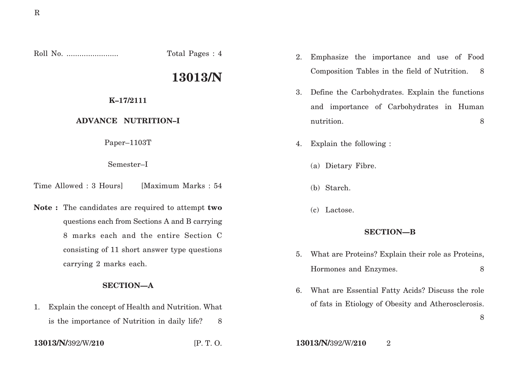Roll No. ........................ Total Pages : 4

# **13013/N**

## **K–17/2111**

# **ADVANCE NUTRITION–I**

Paper–1103T

Semester–I

Time Allowed : 3 Hours] [Maximum Marks : 54

**Note :** The candidates are required to attempt **two** questions each from Sections A and B carrying 8 marks each and the entire Section C consisting of 11 short answer type questions carrying 2 marks each.

#### **SECTION—A**

1. Explain the concept of Health and Nutrition. What is the importance of Nutrition in daily life? 8

- 2. Emphasize the importance and use of Food Composition Tables in the field of Nutrition. 8
- 3. Define the Carbohydrates. Explain the functions and importance of Carbohydrates in Human nutrition. 8
- 4. Explain the following :
	- (a) Dietary Fibre.
	- (b) Starch.
	- (c) Lactose.

## **SECTION—B**

- 5. What are Proteins? Explain their role as Proteins, Hormones and Enzymes. 8
- 6. What are Essential Fatty Acids? Discuss the role of fats in Etiology of Obesity and Atherosclerosis.